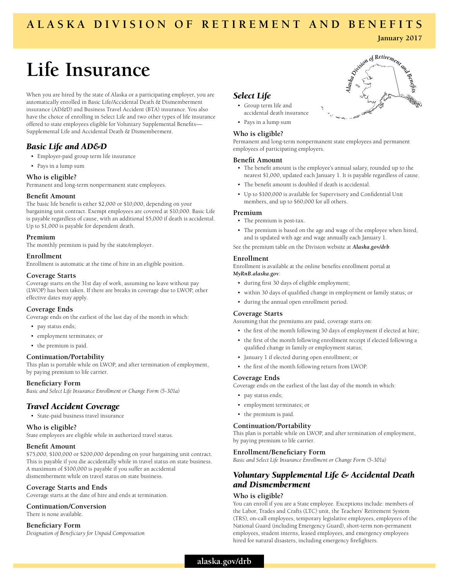## **ALASKA DIVISION OF RETIREMENT AND BENEFITS**

# **Life Insurance**

When you are hired by the state of Alaska or a participating employer, you are automatically enrolled in Basic Life/Accidental Death & Dismemberment insurance (AD&D) and Business Travel Accident (BTA) insurance. You also have the choice of enrolling in Select Life and two other types of life insurance offered to state employees eligible for Voluntary Supplemental Benefits— Supplemental Life and Accidental Death & Dismemberment.

## *Basic Life and AD&D*

- Employer-paid group term life insurance
- Pays in a lump sum

#### **Who is eligible?**

Permanent and long-term nonpermanent state employees.

#### **Benefit Amount**

The basic life benefit is either \$2,000 or \$10,000, depending on your bargaining unit contract. Exempt employees are covered at \$10,000. Basic Life is payable regardless of cause, with an additional \$5,000 if death is accidental. Up to \$1,000 is payable for dependent death.

#### **Premium**

The monthly premium is paid by the state/employer.

#### **Enrollment**

Enrollment is automatic at the time of hire in an eligible position.

#### **Coverage Starts**

Coverage starts on the 31st day of work, assuming no leave without pay (LWOP) has been taken. If there are breaks in coverage due to LWOP, other effective dates may apply.

#### **Coverage Ends**

Coverage ends on the earliest of the last day of the month in which:

- pay status ends;
- employment terminates; or
- the premium is paid.

#### **Continuation/Portability**

This plan is portable while on LWOP, and after termination of employment, by paying premium to life carrier.

#### **Beneficiary Form**

*Basic and Select Life Insurance Enrollment or Change Form (5-301a)*

## *Travel Accident Coverage*

• State-paid business travel insurance

#### **Who is eligible?**

State employees are eligible while in authorized travel status.

#### **Benefit Amount**

\$75,000, \$100,000 or \$200,000 depending on your bargaining unit contract. This is payable if you die accidentally while in travel status on state business. A maximum of \$100,000 is payable if you suffer an accidental dismemberment while on travel status on state business.

#### **Coverage Starts and Ends**

Coverage starts at the date of hire and ends at termination.

#### **Continuation/Conversion**

There is none available.

#### **Beneficiary Form**

*Designation of Beneficiary for Unpaid Compensation*

## *Select Life*

- Group term life and accidental death insurance
- Pays in a lump sum

#### **Who is eligible?**

Permanent and long-term nonpermanent state employees and permanent employees of participating employers.

#### **Benefit Amount**

- The benefit amount is the employee's annual salary, rounded up to the nearest \$1,000, updated each January 1. It is payable regardless of cause.
- The benefit amount is doubled if death is accidental.
- Up to \$100,000 is available for Supervisory and Confidential Unit members, and up to \$60,000 for all others.

#### **Premium**

- The premium is post-tax.
- The premium is based on the age and wage of the employee when hired, and is updated with age and wage annually each January 1.

See the premium table on the Division website at *Alaska.gov/drb*.

#### **Enrollment**

Enrollment is available at the online benefits enrollment portal at *MyRnB.alaska.gov*:

- during first 30 days of eligible employment;
- within 30 days of qualified change in employment or family status; or
- during the annual open enrollment period.

#### **Coverage Starts**

Assuming that the premiums are paid, coverage starts on:

- the first of the month following 30 days of employment if elected at hire;
- the first of the month following enrollment receipt if elected following a qualified change in family or employment status;
- January 1 if elected during open enrollment; or
- the first of the month following return from LWOP.

#### **Coverage Ends**

Coverage ends on the earliest of the last day of the month in which:

- pay status ends;
- employment terminates; or
- the premium is paid.

#### **Continuation/Portability**

This plan is portable while on LWOP, and after termination of employment, by paying premium to life carrier.

#### **Enrollment/Beneficiary Form**

*Basic and Select Life Insurance Enrollment or Change Form (5-301a)*

## *Voluntary Supplemental Life & Accidental Death and Dismemberment*

#### **Who is eligible?**

You can enroll if you are a State employee. Exceptions include: members of the Labor, Trades and Crafts (LTC) unit, the Teachers' Retirement System (TRS), on-call employees, temporary legislative employees, employees of the National Guard (including Emergency Guard), short-term non-permanent employees, student interns, leased employees, and emergency employees hired for natural disasters, including emergency firefighters.